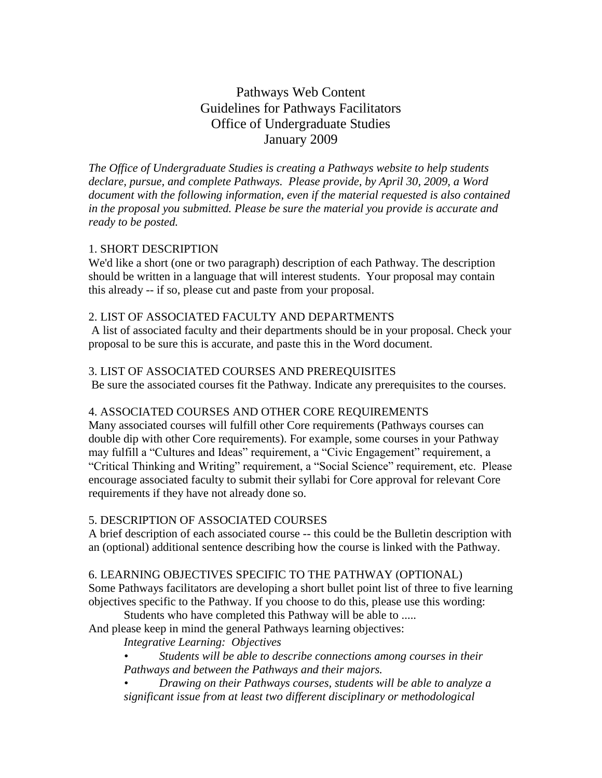# Pathways Web Content Guidelines for Pathways Facilitators Office of Undergraduate Studies January 2009

*The Office of Undergraduate Studies is creating a Pathways website to help students declare, pursue, and complete Pathways. Please provide, by April 30, 2009, a Word document with the following information, even if the material requested is also contained in the proposal you submitted. Please be sure the material you provide is accurate and ready to be posted.*

## 1. SHORT DESCRIPTION

We'd like a short (one or two paragraph) description of each Pathway. The description should be written in a language that will interest students. Your proposal may contain this already -- if so, please cut and paste from your proposal.

# 2. LIST OF ASSOCIATED FACULTY AND DEPARTMENTS

A list of associated faculty and their departments should be in your proposal. Check your proposal to be sure this is accurate, and paste this in the Word document.

## 3. LIST OF ASSOCIATED COURSES AND PREREQUISITES

Be sure the associated courses fit the Pathway. Indicate any prerequisites to the courses.

#### 4. ASSOCIATED COURSES AND OTHER CORE REQUIREMENTS

Many associated courses will fulfill other Core requirements (Pathways courses can double dip with other Core requirements). For example, some courses in your Pathway may fulfill a "Cultures and Ideas" requirement, a "Civic Engagement" requirement, a "Critical Thinking and Writing" requirement, a "Social Science" requirement, etc. Please encourage associated faculty to submit their syllabi for Core approval for relevant Core requirements if they have not already done so.

# 5. DESCRIPTION OF ASSOCIATED COURSES

A brief description of each associated course -- this could be the Bulletin description with an (optional) additional sentence describing how the course is linked with the Pathway.

## 6. LEARNING OBJECTIVES SPECIFIC TO THE PATHWAY (OPTIONAL)

Some Pathways facilitators are developing a short bullet point list of three to five learning objectives specific to the Pathway. If you choose to do this, please use this wording:

Students who have completed this Pathway will be able to .....

And please keep in mind the general Pathways learning objectives:

*Integrative Learning: Objectives*

*• Students will be able to describe connections among courses in their Pathways and between the Pathways and their majors.*

*• Drawing on their Pathways courses, students will be able to analyze a significant issue from at least two different disciplinary or methodological*